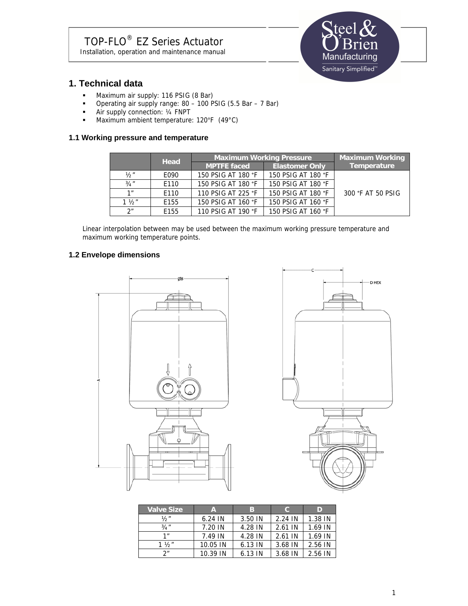

## **1. Technical data**

- **Maximum air supply: 116 PSIG (8 Bar)**
- Operating air supply range: 80 100 PSIG (5.5 Bar 7 Bar)
- Air supply connection: 1/4 FNPT
- Maximum ambient temperature: 120°F (49°C)

### **1.1 Working pressure and temperature**

|                 | <b>Head</b> | <b>Maximum Working Pressure</b> |                       | <b>Maximum Working</b> |
|-----------------|-------------|---------------------------------|-----------------------|------------------------|
|                 |             | <b>MPTFE faced</b>              | <b>Elastomer Only</b> | Temperature            |
| 1/2″            | E090        | 150 PSIG AT 180 °F              | 150 PSIG AT 180 °F    |                        |
| 3/4''           | E110        | 150 PSIG AT 180 °F              | 150 PSIG AT 180 °F    |                        |
| 1 <sup>''</sup> | E110        | 110 PSIG AT 225 °F              | 150 PSIG AT 180 °F    | 300 °F AT 50 PSIG      |
| $1 \frac{1}{2}$ | E155        | 150 PSIG AT 160 °F              | 150 PSIG AT 160 °F    |                        |
| 2 <sup>n</sup>  | E155        | 110 PSIG AT 190 °F              | 150 PSIG AT 160 °F    |                        |

Linear interpolation between may be used between the maximum working pressure temperature and maximum working temperature points.

### **1.2 Envelope dimensions**





| <b>Valve Size</b> | A         | в       | C.      | D       |
|-------------------|-----------|---------|---------|---------|
| 1/ <sub>2</sub> " | $6.24$ IN | 3.50 IN | 2.24 IN | 1.38 IN |
| 3/4''             | 7.20 IN   | 4.28 IN | 2.61 IN | 1.69 IN |
| 1 <sup>''</sup>   | 7.49 IN   | 4.28 IN | 2.61 IN | 1.69 IN |
| $1 \frac{1}{2}$   | 10.05 IN  | 6.13 IN | 3.68 IN | 2.56 IN |
| 2 <sup>n</sup>    | 10.39 IN  | 6.13 IN | 3.68 IN | 2.56 IN |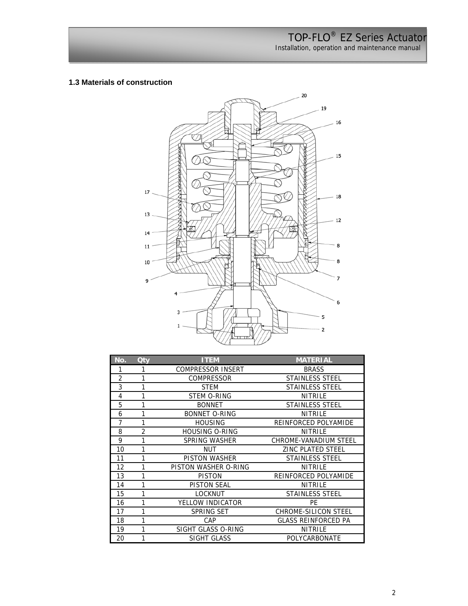Installation, operation and maintenance manual

### **1.3 Materials of construction**



| No.            | <b>Qty</b>     | <b>ITEM</b>              | <b>MATERIAL</b>              |
|----------------|----------------|--------------------------|------------------------------|
| 1              | 1              | <b>COMPRESSOR INSERT</b> | <b>BRASS</b>                 |
| $\overline{2}$ | 1              | <b>COMPRESSOR</b>        | <b>STAINLESS STEEL</b>       |
| 3              | 1              | <b>STEM</b>              | <b>STAINLESS STEEL</b>       |
| 4              | 1              | STEM O-RING              | <b>NITRILE</b>               |
| 5              | 1              | <b>BONNET</b>            | <b>STAINLESS STEEL</b>       |
| 6              |                | <b>BONNET O-RING</b>     | <b>NITRILE</b>               |
| $\overline{7}$ | 1              | <b>HOUSING</b>           | REINFORCED POLYAMIDE         |
| 8              | $\overline{2}$ | <b>HOUSING O-RING</b>    | NITRILE                      |
| 9              | 1              | <b>SPRING WASHER</b>     | <b>CHROME-VANADIUM STEEL</b> |
| 10             |                | <b>NUT</b>               | <b>ZINC PLATED STEEL</b>     |
| 11             | 1              | <b>PISTON WASHER</b>     | <b>STAINLESS STEEL</b>       |
| 12             | 1              | PISTON WASHER O-RING     | <b>NITRILE</b>               |
| 13             | 1              | <b>PISTON</b>            | REINFORCED POLYAMIDE         |
| 14             | 1              | <b>PISTON SEAL</b>       | <b>NITRILE</b>               |
| 15             | 1              | <b>LOCKNUT</b>           | <b>STAINLESS STEEL</b>       |
| 16             | 1              | YELLOW INDICATOR         | PF                           |
| 17             | $\mathbf{1}$   | <b>SPRING SET</b>        | <b>CHROME-SILICON STEEL</b>  |
| 18             | 1              | CAP                      | <b>GLASS REINFORCED PA</b>   |
| 19             |                | SIGHT GLASS O-RING       | NITRILE                      |
| 20             | 1              | SIGHT GLASS              | POLYCARBONATE                |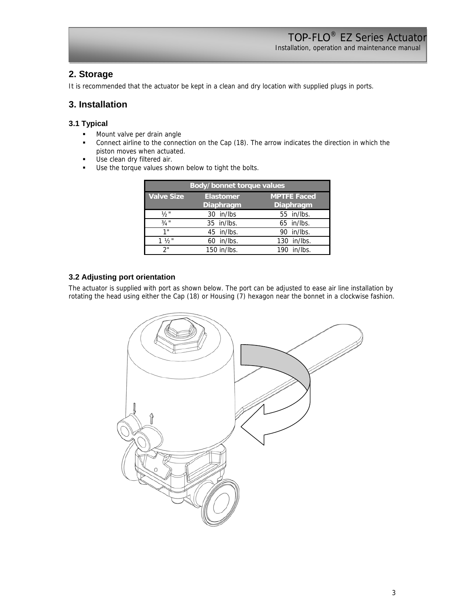Installation, operation and maintenance manual

## **2. Storage**

It is recommended that the actuator be kept in a clean and dry location with supplied plugs in ports.

## **3. Installation**

### **3.1 Typical**

- **Mount valve per drain angle**
- Connect airline to the connection on the Cap (18). The arrow indicates the direction in which the piston moves when actuated.
- **Use clean dry filtered air.**
- Use the torque values shown below to tight the bolts.

| Body/bonnet torque values |                               |                                 |  |  |  |
|---------------------------|-------------------------------|---------------------------------|--|--|--|
| <b>Valve Size</b>         | <b>Elastomer</b><br>Diaphragm | <b>MPTFE Faced</b><br>Diaphragm |  |  |  |
| 1/2"                      | 30 in/lbs                     | 55 in/lbs.                      |  |  |  |
| $3/4$ "                   | $35$ in/lbs.                  | 65 in/lbs.                      |  |  |  |
| 1"                        | 45 in/lbs.                    | 90 in/lbs.                      |  |  |  |
| $1\frac{1}{2}$            | in/lbs.<br>60                 | 130 in/lbs.                     |  |  |  |
| ን"                        | 150 in/lbs.                   | 190 in/lbs.                     |  |  |  |

### **3.2 Adjusting port orientation**

The actuator is supplied with port as shown below. The port can be adjusted to ease air line installation by rotating the head using either the Cap (18) or Housing (7) hexagon near the bonnet in a clockwise fashion.

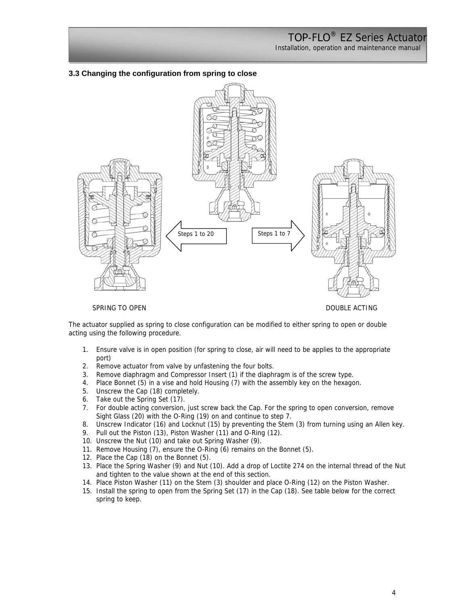Installation, operation and maintenance manual

#### **3.3 Changing the configuration from spring to close**



SPRING TO OPEN DOUBLE ACTING

The actuator supplied as spring to close configuration can be modified to either spring to open or double acting using the following procedure.

- 1. Ensure valve is in open position (for spring to close, air will need to be applies to the appropriate port)
- 2. Remove actuator from valve by unfastening the four bolts.
- 3. Remove diaphragm and Compressor Insert (1) if the diaphragm is of the screw type.
- 4. Place Bonnet (5) in a vise and hold Housing (7) with the assembly key on the hexagon.
- 5. Unscrew the Cap (18) completely.
- 6. Take out the Spring Set (17).
- 7. For double acting conversion, just screw back the Cap. For the spring to open conversion, remove Sight Glass (20) with the O-Ring (19) on and continue to step 7.
- 8. Unscrew Indicator (16) and Locknut (15) by preventing the Stem (3) from turning using an Allen key.
- 9. Pull out the Piston (13), Piston Washer (11) and O-Ring (12).
- 10. Unscrew the Nut (10) and take out Spring Washer (9).
- 11. Remove Housing (7), ensure the O-Ring (6) remains on the Bonnet (5).
- 12. Place the Cap (18) on the Bonnet (5).
- 13. Place the Spring Washer (9) and Nut (10). Add a drop of Loctite 274 on the internal thread of the Nut and tighten to the value shown at the end of this section.
- 14. Place Piston Washer (11) on the Stem (3) shoulder and place O-Ring (12) on the Piston Washer.
- 15. Install the spring to open from the Spring Set (17) in the Cap (18). See table below for the correct spring to keep.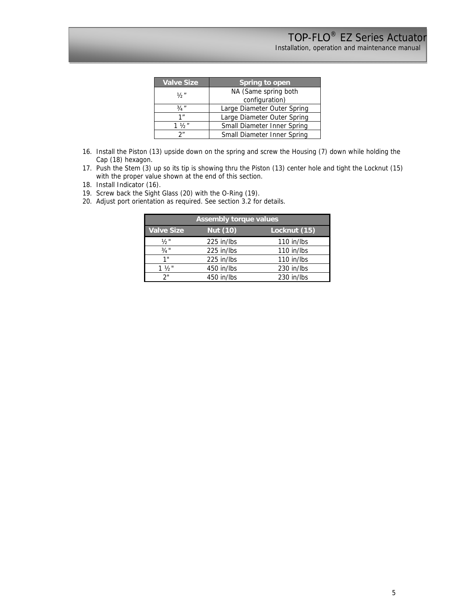| <b>Valve Size</b> | Spring to open              |  |  |
|-------------------|-----------------------------|--|--|
| ソっ"               | NA (Same spring both        |  |  |
|                   | configuration)              |  |  |
| 3/4''             | Large Diameter Outer Spring |  |  |
| 1 <sup>''</sup>   | Large Diameter Outer Spring |  |  |
| $1 \frac{1}{2}$   | Small Diameter Inner Spring |  |  |
| 2 <sup>n</sup>    | Small Diameter Inner Spring |  |  |

- 16. Install the Piston (13) upside down on the spring and screw the Housing (7) down while holding the Cap (18) hexagon.
- 17. Push the Stem (3) up so its tip is showing thru the Piston (13) center hole and tight the Locknut (15) with the proper value shown at the end of this section.
- 18. Install Indicator (16).
- 19. Screw back the Sight Glass (20) with the O-Ring (19).
- 20. Adjust port orientation as required. See section 3.2 for details.

| <b>Assembly torque values</b> |                 |              |  |  |  |
|-------------------------------|-----------------|--------------|--|--|--|
| <b>Valve Size</b>             | <b>Nut (10)</b> | Locknut (15) |  |  |  |
| $\frac{1}{2}$ "               | 225 in/lbs      | 110 in/lbs   |  |  |  |
| $3/4$ "                       | 225 in/lbs      | 110 in/lbs   |  |  |  |
| 1"                            | 225 in/lbs      | 110 in/lbs   |  |  |  |
| $1\frac{1}{2}$                | 450 in/lbs      | 230 in/lbs   |  |  |  |
| ን"                            | 450 in/lbs      | 230 in/lbs   |  |  |  |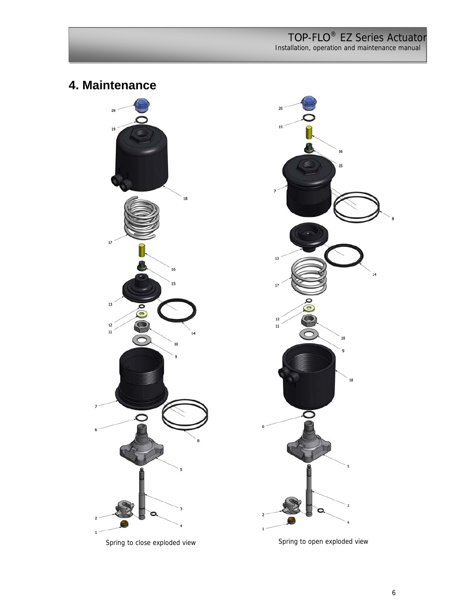Installation, operation and maintenance manual

**4. Maintenance**



Spring to close exploded view Spring to open exploded view

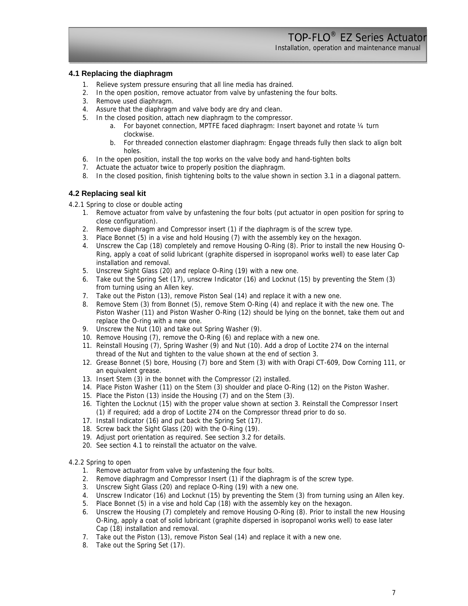Installation, operation and maintenance manual

#### **4.1 Replacing the diaphragm**

- 1. Relieve system pressure ensuring that all line media has drained.
- 2. In the open position, remove actuator from valve by unfastening the four bolts.
- 3. Remove used diaphragm.
- 4. Assure that the diaphragm and valve body are dry and clean.
- 5. In the closed position, attach new diaphragm to the compressor.
	- a. For bayonet connection, MPTFE faced diaphragm: Insert bayonet and rotate ¼ turn clockwise.
	- b. For threaded connection elastomer diaphragm: Engage threads fully then slack to align bolt holes.
- 6. In the open position, install the top works on the valve body and hand-tighten bolts
- 7. Actuate the actuator twice to properly position the diaphragm.
- 8. In the closed position, finish tightening bolts to the value shown in section 3.1 in a diagonal pattern.

### **4.2 Replacing seal kit**

- 4.2.1 Spring to close or double acting
	- 1. Remove actuator from valve by unfastening the four bolts (put actuator in open position for spring to close configuration).
	- 2. Remove diaphragm and Compressor insert (1) if the diaphragm is of the screw type.
	- 3. Place Bonnet (5) in a vise and hold Housing (7) with the assembly key on the hexagon.
	- 4. Unscrew the Cap (18) completely and remove Housing O-Ring (8). Prior to install the new Housing O-Ring, apply a coat of solid lubricant (graphite dispersed in isopropanol works well) to ease later Cap installation and removal.
	- 5. Unscrew Sight Glass (20) and replace O-Ring (19) with a new one.
	- 6. Take out the Spring Set (17), unscrew Indicator (16) and Locknut (15) by preventing the Stem (3) from turning using an Allen key.
	- 7. Take out the Piston (13), remove Piston Seal (14) and replace it with a new one.
	- 8. Remove Stem (3) from Bonnet (5), remove Stem O-Ring (4) and replace it with the new one. The Piston Washer (11) and Piston Washer O-Ring (12) should be lying on the bonnet, take them out and replace the O-ring with a new one.
	- 9. Unscrew the Nut (10) and take out Spring Washer (9).
	- 10. Remove Housing (7), remove the O-Ring (6) and replace with a new one.
	- 11. Reinstall Housing (7), Spring Washer (9) and Nut (10). Add a drop of Loctite 274 on the internal thread of the Nut and tighten to the value shown at the end of section 3.
	- 12. Grease Bonnet (5) bore, Housing (7) bore and Stem (3) with with Orapi CT-609, Dow Corning 111, or an equivalent grease.
	- 13. Insert Stem (3) in the bonnet with the Compressor (2) installed.
	- 14. Place Piston Washer (11) on the Stem (3) shoulder and place O-Ring (12) on the Piston Washer.
	- 15. Place the Piston (13) inside the Housing (7) and on the Stem (3).
	- 16. Tighten the Locknut (15) with the proper value shown at section 3. Reinstall the Compressor Insert (1) if required; add a drop of Loctite 274 on the Compressor thread prior to do so.
	- 17. Install Indicator (16) and put back the Spring Set (17).
	- 18. Screw back the Sight Glass (20) with the O-Ring (19).
	- 19. Adjust port orientation as required. See section 3.2 for details.
	- 20. See section 4.1 to reinstall the actuator on the valve.

#### 4.2.2 Spring to open

- 1. Remove actuator from valve by unfastening the four bolts.
- 2. Remove diaphragm and Compressor Insert (1) if the diaphragm is of the screw type.
- 3. Unscrew Sight Glass (20) and replace O-Ring (19) with a new one.
- 4. Unscrew Indicator (16) and Locknut (15) by preventing the Stem (3) from turning using an Allen key.
- 5. Place Bonnet (5) in a vise and hold Cap (18) with the assembly key on the hexagon.
- 6. Unscrew the Housing (7) completely and remove Housing O-Ring (8). Prior to install the new Housing O-Ring, apply a coat of solid lubricant (graphite dispersed in isopropanol works well) to ease later Cap (18) installation and removal.
- 7. Take out the Piston (13), remove Piston Seal (14) and replace it with a new one.
- 8. Take out the Spring Set (17).